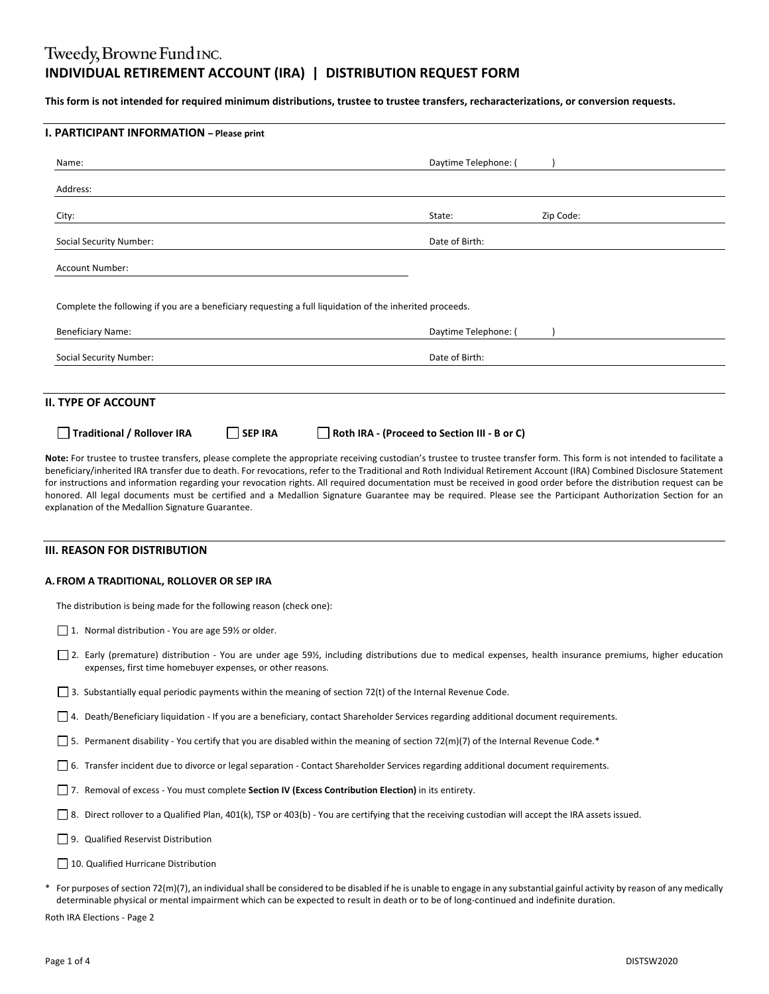# Tweedy, Browne Fund INC. **INDIVIDUAL RETIREMENT ACCOUNT (IRA) | DISTRIBUTION REQUEST FORM**

This form is not intended for required minimum distributions, trustee to trustee transfers, recharacterizations, or conversion requests.

| Name:                                                                                                                                | Daytime Telephone: ( |
|--------------------------------------------------------------------------------------------------------------------------------------|----------------------|
| Address:                                                                                                                             |                      |
| City:                                                                                                                                | Zip Code:<br>State:  |
| <b>Social Security Number:</b>                                                                                                       | Date of Birth:       |
| <b>Account Number:</b>                                                                                                               |                      |
|                                                                                                                                      |                      |
| Complete the following if you are a beneficiary requesting a full liquidation of the inherited proceeds.<br><b>Beneficiary Name:</b> | Daytime Telephone: ( |
| <b>Social Security Number:</b>                                                                                                       | Date of Birth:       |
| II. TYPE OF ACCOUNT                                                                                                                  |                      |

beneficiary/inherited IRA transfer due to death. For revocations, refer to the Traditional and Roth Individual Retirement Account (IRA) Combined Disclosure Statement for instructions and information regarding your revocation rights. All required documentation must be received in good order before the distribution request can be honored. All legal documents must be certified and a Medallion Signature Guarantee may be required. Please see the Participant Authorization Section for an explanation of the Medallion Signature Guarantee.

### **III. REASON FOR DISTRIBUTION**

## **A. FROM A TRADITIONAL, ROLLOVER OR SEP IRA**

The distribution is being made for the following reason (check one):

□ 1. Normal distribution - You are age 59½ or older.

- □ 2. Early (premature) distribution You are under age 59½, including distributions due to medical expenses, health insurance premiums, higher education expenses, first time homebuyer expenses, or other reasons.
- 3. Substantially equal periodic payments within the meaning of section 72(t) of the Internal Revenue Code.
- 4. Death/Beneficiary liquidation ‐ If you are a beneficiary, contact Shareholder Services regarding additional document requirements.
- 5. Permanent disability ‐ You certify that you are disabled within the meaning of section 72(m)(7) of the Internal Revenue Code.\*
- 6. Transfer incident due to divorce or legal separation ‐ Contact Shareholder Services regarding additional document requirements.
- 7. Removal of excess ‐ You must complete **Section IV (Excess Contribution Election)** in its entirety.
- 8. Direct rollover to a Qualified Plan, 401(k), TSP or 403(b) You are certifying that the receiving custodian will accept the IRA assets issued.
- **9.** Qualified Reservist Distribution
- 10. Qualified Hurricane Distribution
- For purposes of section 72(m)(7), an individual shall be considered to be disabled if he is unable to engage in any substantial gainful activity by reason of any medically determinable physical or mental impairment which can be expected to result in death or to be of long‐continued and indefinite duration.

Roth IRA Elections ‐ Page 2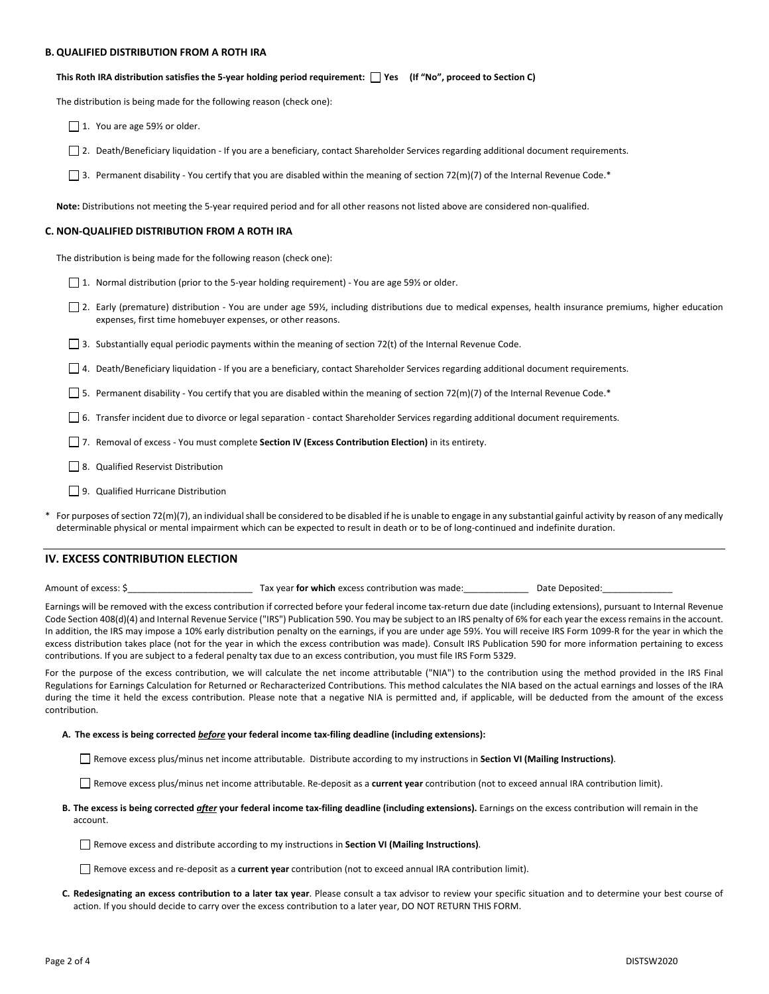#### **B. QUALIFIED DISTRIBUTION FROM A ROTH IRA**

This Roth IRA distribution satisfies the 5-year holding period requirement: [ ] Yes (If "No", proceed to Section C)

The distribution is being made for the following reason (check one):

1. You are age 59% or older.

2. Death/Beneficiary liquidation ‐ If you are a beneficiary, contact Shareholder Services regarding additional document requirements.

3. Permanent disability - You certify that you are disabled within the meaning of section 72(m)(7) of the Internal Revenue Code.\*

**Note:** Distributions not meeting the 5‐year required period and for all other reasons not listed above are considered non‐qualified.

#### **C. NON‐QUALIFIED DISTRIBUTION FROM A ROTH IRA**

The distribution is being made for the following reason (check one):

1. Normal distribution (prior to the 5‐year holding requirement) ‐ You are age 59½ or older.

□ 2. Early (premature) distribution - You are under age 59½, including distributions due to medical expenses, health insurance premiums, higher education expenses, first time homebuyer expenses, or other reasons.

3. Substantially equal periodic payments within the meaning of section 72(t) of the Internal Revenue Code.

4. Death/Beneficiary liquidation ‐ If you are a beneficiary, contact Shareholder Services regarding additional document requirements.

5. Permanent disability ‐ You certify that you are disabled within the meaning of section 72(m)(7) of the Internal Revenue Code.\*

6. Transfer incident due to divorce or legal separation ‐ contact Shareholder Services regarding additional document requirements.

7. Removal of excess ‐ You must complete **Section IV (Excess Contribution Election)** in its entirety.

8. Qualified Reservist Distribution

□ 9. Qualified Hurricane Distribution

For purposes of section 72(m)(7), an individual shall be considered to be disabled if he is unable to engage in any substantial gainful activity by reason of any medically determinable physical or mental impairment which can be expected to result in death or to be of long‐continued and indefinite duration.

# **IV. EXCESS CONTRIBUTION ELECTION**

Amount of excess: \$\_\_\_\_\_\_\_\_\_\_\_\_\_\_\_\_\_\_\_\_\_\_\_\_\_ Tax year **for which** excess contribution was made:\_\_\_\_\_\_\_\_\_\_\_\_\_ Date Deposited:\_\_\_\_\_\_\_\_\_\_\_\_\_\_

Earnings will be removed with the excess contribution if corrected before your federal income tax-return due date (including extensions), pursuant to Internal Revenue Code Section 408(d)(4) and Internal Revenue Service ("IRS") Publication 590. You may be subject to an IRS penalty of 6% for each year the excess remains in the account. In addition, the IRS may impose a 10% early distribution penalty on the earnings, if you are under age 59½. You will receive IRS Form 1099-R for the year in which the excess distribution takes place (not for the year in which the excess contribution was made). Consult IRS Publication 590 for more information pertaining to excess contributions. If you are subject to a federal penalty tax due to an excess contribution, you must file IRS Form 5329.

For the purpose of the excess contribution, we will calculate the net income attributable ("NIA") to the contribution using the method provided in the IRS Final Regulations for Earnings Calculation for Returned or Recharacterized Contributions*.* This method calculates the NIA based on the actual earnings and losses of the IRA during the time it held the excess contribution. Please note that a negative NIA is permitted and, if applicable, will be deducted from the amount of the excess contribution.

#### **A. The excess is being corrected** *before* **your federal income tax‐filing deadline (including extensions):**

Remove excess plus/minus net income attributable. Distribute according to my instructions in **Section VI (Mailing Instructions)**.

Remove excess plus/minus net income attributable. Re‐deposit as a **current year** contribution (not to exceed annual IRA contribution limit).

B. The excess is being corrected *after* your federal income tax-filing deadline (including extensions). Earnings on the excess contribution will remain in the account.

Remove excess and distribute according to my instructions in **Section VI (Mailing Instructions)**.

Remove excess and re‐deposit as a **current year** contribution (not to exceed annual IRA contribution limit).

C. Redesignating an excess contribution to a later tax year. Please consult a tax advisor to review your specific situation and to determine your best course of action. If you should decide to carry over the excess contribution to a later year, DO NOT RETURN THIS FORM.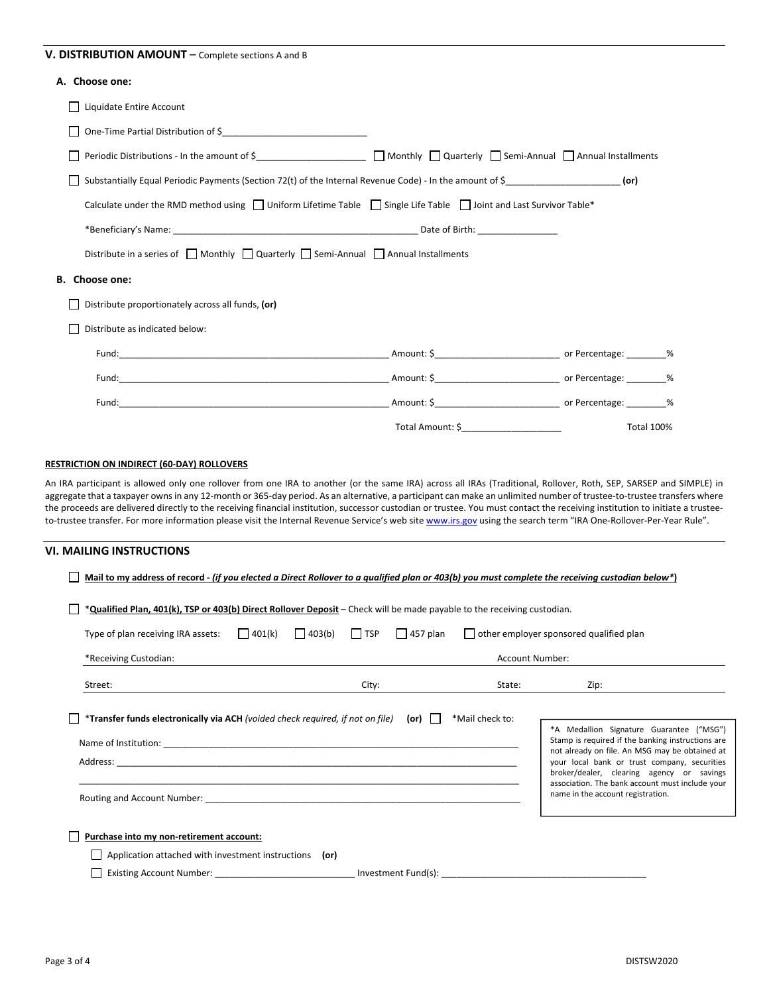# **V. DISTRIBUTION AMOUNT** – Complete sections A and B

# **A. Choose one:**

| Liquidate Entire Account                                                                                                          |                                                              |                   |  |
|-----------------------------------------------------------------------------------------------------------------------------------|--------------------------------------------------------------|-------------------|--|
|                                                                                                                                   |                                                              |                   |  |
| Periodic Distributions - In the amount of \$________________________ □ Monthly □ Quarterly □ Semi-Annual □ Annual Installments    |                                                              |                   |  |
| Substantially Equal Periodic Payments (Section 72(t) of the Internal Revenue Code) - In the amount of $\zeta$                     |                                                              |                   |  |
| Calculate under the RMD method using $\Box$ Uniform Lifetime Table $\Box$ Single Life Table $\Box$ Joint and Last Survivor Table* |                                                              |                   |  |
|                                                                                                                                   |                                                              |                   |  |
| Distribute in a series of $\Box$ Monthly $\Box$ Quarterly $\Box$ Semi-Annual $\Box$ Annual Installments                           |                                                              |                   |  |
| B. Choose one:                                                                                                                    |                                                              |                   |  |
| Distribute proportionately across all funds, (or)                                                                                 |                                                              |                   |  |
| Distribute as indicated below:                                                                                                    |                                                              |                   |  |
|                                                                                                                                   |                                                              |                   |  |
|                                                                                                                                   |                                                              |                   |  |
|                                                                                                                                   |                                                              |                   |  |
|                                                                                                                                   | Total Amount: \$_<br><u> 1989 - Johann Barbara, martin d</u> | <b>Total 100%</b> |  |

# **RESTRICTION ON INDIRECT (60‐DAY) ROLLOVERS**

An IRA participant is allowed only one rollover from one IRA to another (or the same IRA) across all IRAs (Traditional, Rollover, Roth, SEP, SARSEP and SIMPLE) in aggregate that a taxpayer ownsin any 12‐month or 365‐day period. As an alternative, a participant can make an unlimited number of trustee‐to‐trustee transfers where the proceeds are delivered directly to the receiving financial institution, successor custodian or trustee. You must contact the receiving institution to initiate a trustee‐ to-trustee transfer. For more information please visit the Internal Revenue Service's web site www.irs.gov using the search term "IRA One-Rollover-Per-Year Rule".

### **VI. MAILING INSTRUCTIONS**

|                                                                                                                         |               |                                          |       |                                                                                                                                                                                                                                | Mail to my address of record - (if you elected a Direct Rollover to a qualified plan or 403(b) you must complete the receiving custodian below*)                                                                                    |
|-------------------------------------------------------------------------------------------------------------------------|---------------|------------------------------------------|-------|--------------------------------------------------------------------------------------------------------------------------------------------------------------------------------------------------------------------------------|-------------------------------------------------------------------------------------------------------------------------------------------------------------------------------------------------------------------------------------|
| *Qualified Plan, 401(k), TSP or 403(b) Direct Rollover Deposit – Check will be made payable to the receiving custodian. |               |                                          |       |                                                                                                                                                                                                                                |                                                                                                                                                                                                                                     |
| Type of plan receiving IRA assets:                                                                                      | $\Box$ 401(k) | $\Box$ 403(b) $\Box$ TSP $\Box$ 457 plan |       |                                                                                                                                                                                                                                | other employer sponsored qualified plan                                                                                                                                                                                             |
| *Receiving Custodian:                                                                                                   |               |                                          |       | <b>Account Number:</b>                                                                                                                                                                                                         |                                                                                                                                                                                                                                     |
| Street:                                                                                                                 |               |                                          | City: | State: the state of the state of the state of the state of the state of the state of the state of the state of the state of the state of the state of the state of the state of the state of the state of the state of the sta | Zip:                                                                                                                                                                                                                                |
| *Transfer funds electronically via ACH (voided check required, if not on file) (or)                                     |               |                                          |       | *Mail check to:                                                                                                                                                                                                                | *A Medallion Signature Guarantee ("MSG")<br>Stamp is required if the banking instructions are                                                                                                                                       |
|                                                                                                                         |               |                                          |       |                                                                                                                                                                                                                                | not already on file. An MSG may be obtained at<br>your local bank or trust company, securities<br>broker/dealer, clearing agency or savings<br>association. The bank account must include your<br>name in the account registration. |